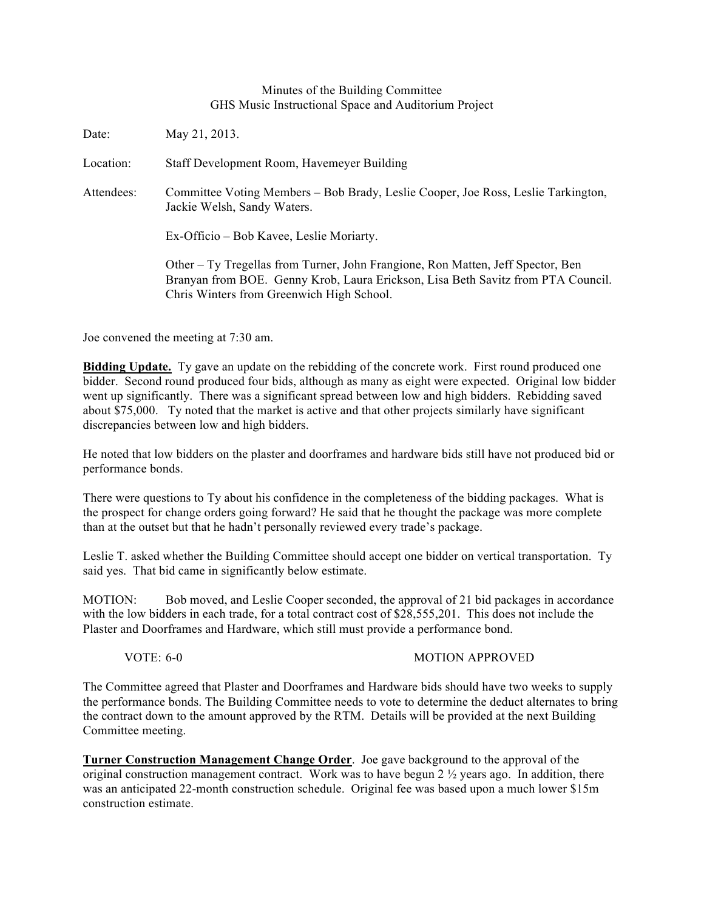## Minutes of the Building Committee GHS Music Instructional Space and Auditorium Project

| Date:      | May 21, 2013.                                                                                                                                                                                                    |
|------------|------------------------------------------------------------------------------------------------------------------------------------------------------------------------------------------------------------------|
| Location:  | Staff Development Room, Havemeyer Building                                                                                                                                                                       |
| Attendees: | Committee Voting Members – Bob Brady, Leslie Cooper, Joe Ross, Leslie Tarkington,<br>Jackie Welsh, Sandy Waters.                                                                                                 |
|            | Ex-Officio – Bob Kavee, Leslie Moriarty.                                                                                                                                                                         |
|            | Other – Ty Tregellas from Turner, John Frangione, Ron Matten, Jeff Spector, Ben<br>Branyan from BOE. Genny Krob, Laura Erickson, Lisa Beth Savitz from PTA Council.<br>Chris Winters from Greenwich High School. |

Joe convened the meeting at 7:30 am.

**Bidding Update.** Ty gave an update on the rebidding of the concrete work. First round produced one bidder. Second round produced four bids, although as many as eight were expected. Original low bidder went up significantly. There was a significant spread between low and high bidders. Rebidding saved about \$75,000. Ty noted that the market is active and that other projects similarly have significant discrepancies between low and high bidders.

He noted that low bidders on the plaster and doorframes and hardware bids still have not produced bid or performance bonds.

There were questions to Ty about his confidence in the completeness of the bidding packages. What is the prospect for change orders going forward? He said that he thought the package was more complete than at the outset but that he hadn't personally reviewed every trade's package.

Leslie T. asked whether the Building Committee should accept one bidder on vertical transportation. Ty said yes. That bid came in significantly below estimate.

MOTION: Bob moved, and Leslie Cooper seconded, the approval of 21 bid packages in accordance with the low bidders in each trade, for a total contract cost of \$28,555,201. This does not include the Plaster and Doorframes and Hardware, which still must provide a performance bond.

## VOTE: 6-0 MOTION APPROVED

The Committee agreed that Plaster and Doorframes and Hardware bids should have two weeks to supply the performance bonds. The Building Committee needs to vote to determine the deduct alternates to bring the contract down to the amount approved by the RTM. Details will be provided at the next Building Committee meeting.

**Turner Construction Management Change Order**. Joe gave background to the approval of the original construction management contract. Work was to have begun  $2\frac{1}{2}$  years ago. In addition, there was an anticipated 22-month construction schedule. Original fee was based upon a much lower \$15m construction estimate.